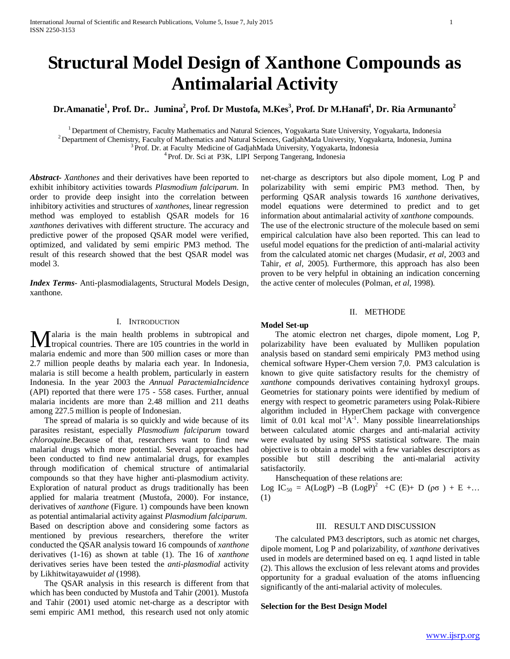# **Structural Model Design of Xanthone Compounds as Antimalarial Activity**

 $\rm{Dr. Amanatie}^1$ ,  $\rm{Prof. Dr.. Jumina}^2$ ,  $\rm{Prof. Dr. Mustofa, M.Kes}^3$ ,  $\rm{Prof. Dr. M. Hanafi}^4$ ,  $\rm{Dr. Ria Armunanto}^2$ 

<sup>1</sup> Department of Chemistry, Faculty Mathematics and Natural Sciences, Yogyakarta State University, Yogyakarta, Indonesia <sup>2</sup> Department of Chemistry, Faculty of Mathematics and Natural Sciences, GadjahMada University, Yo

*Abstract***-** *Xanthones* and their derivatives have been reported to exhibit inhibitory activities towards *Plasmodium falciparum*. In order to provide deep insight into the correlation between inhibitory activities and structures of *xanthones*, linear regression method was employed to establish QSAR models for 16 *xanthones* derivatives with different structure. The accuracy and predictive power of the proposed QSAR model were verified, optimized, and validated by semi empiric PM3 method. The result of this research showed that the best QSAR model was model 3.

*Index Terms*- Anti-plasmodialagents, Structural Models Design, xanthone.

# I. INTRODUCTION

alaria is the main health problems in subtropical and **M** alaria is the main health problems in subtropical and tropical countries. There are 105 countries in the world in malaria endemic and more than 500 million cases or more than 2.7 million people deaths by malaria each year. In Indonesia, malaria is still become a health problem, particularly in eastern Indonesia. In the year 2003 the *Annual ParactemiaIncidence* (API) reported that there were 175 - 558 cases. Further, annual malaria incidents are more than 2.48 million and 211 deaths among 227.5 million is people of Indonesian.

 The spread of malaria is so quickly and wide because of its parasites resistant, especially *Plasmodium falciparum* toward *chloroquine*.Because of that, researchers want to find new malarial drugs which more potential. Several approaches had been conducted to find new antimalarial drugs, for examples through modification of chemical structure of antimalarial compounds so that they have higher anti-plasmodium activity. Exploration of natural product as drugs traditionally has been applied for malaria treatment (Mustofa, 2000). For instance, derivatives of *xanthone* (Figure. 1) compounds have been known as potential antimalarial activity against *Plasmodium falciparum*. Based on description above and considering some factors as mentioned by previous researchers, therefore the writer conducted the QSAR analysis toward 16 compounds of *xanthone*  derivatives (1-16) as shown at table (1). The 16 of *xanthone* derivatives series have been tested the *anti-plasmodial* activity by Likhitwitayawuid*et al* (1998).

 The QSAR analysis in this research is different from that which has been conducted by Mustofa and Tahir (2001). Mustofa and Tahir (2001) used atomic net-charge as a descriptor with semi empiric AM1 method, this research used not only atomic

net-charge as descriptors but also dipole moment, Log P and polarizability with semi empiric PM3 method. Then, by performing QSAR analysis towards 16 *xanthone* derivatives, model equations were determined to predict and to get information about antimalarial activity of *xanthone* compounds. The use of the electronic structure of the molecule based on semi empirical calculation have also been reported. This can lead to useful model equations for the prediction of anti-malarial activity from the calculated atomic net charges (Mudasir, *et al*, 2003 and Tahir, *et al*, 2005). Furthermore, this approach has also been proven to be very helpful in obtaining an indication concerning the active center of molecules (Polman, *et al,* 1998).

## II. METHODE

## **Model Set-up**

 The atomic electron net charges, dipole moment, Log P, polarizability have been evaluated by Mulliken population analysis based on standard semi empiricaly PM3 method using chemical software Hyper-Chem version 7,0. PM3 calculation is known to give quite satisfactory results for the chemistry of *xanthone* compounds derivatives containing hydroxyl groups. Geometries for stationary points were identified by medium of energy with respect to geometric parameters using Polak-Ribiere algorithm included in HyperChem package with convergence limit of 0.01 kcal mol<sup>-1</sup> $A^{-1}$ . Many possible linearrelationships between calculated atomic charges and anti-malarial activity were evaluated by using SPSS statistical software. The main objective is to obtain a model with a few variables descriptors as possible but still describing the anti-malarial activity satisfactorily.

Hanschequation of these relations are:

Log IC<sub>50</sub> = A(LogP) –B (LogP)<sup>2</sup> +C (E)+ D (ρσ) + E +... (1)

## III. RESULT AND DISCUSSION

 The calculated PM3 descriptors, such as atomic net charges, dipole moment, Log P and polarizability, of *xanthone* derivatives used in models are determined based on eq. 1 aqnd listed in table (2). This allows the exclusion of less relevant atoms and provides opportunity for a gradual evaluation of the atoms influencing significantly of the anti-malarial activity of molecules.

## **Selection for the Best Design Model**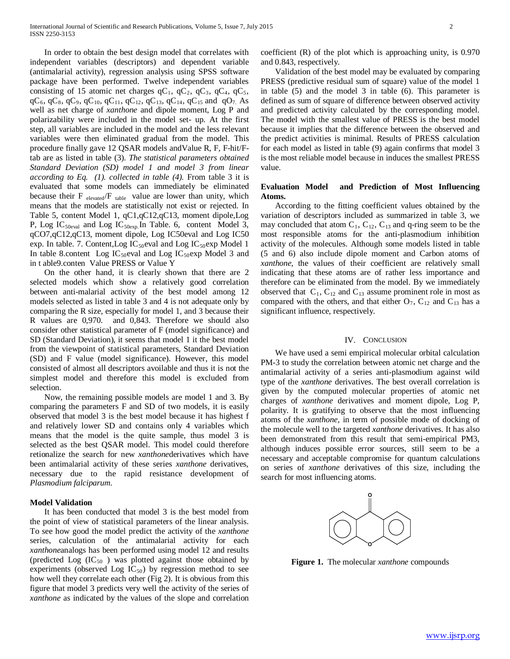In order to obtain the best design model that correlates with independent variables (descriptors) and dependent variable (antimalarial activity), regression analysis using SPSS software package have been performed. Twelve independent variables consisting of 15 atomic net charges  $qC_1$ ,  $qC_2$ ,  $qC_3$ ,  $qC_4$ ,  $qC_5$ ,  $qC_6$ ,  $qC_8$ ,  $qC_9$ ,  $qC_{10}$ ,  $qC_{11}$ ,  $qC_{12}$ ,  $qC_{13}$ ,  $qC_{14}$ ,  $qC_{15}$  and  $qO_7$ . As well as net charge of *xanthone* and dipole moment, Log P and polarizability were included in the model set- up. At the first step, all variables are included in the model and the less relevant variables were then eliminated gradual from the model. This procedure finally gave 12 QSAR models andValue R, F, F-hit/Ftab are as listed in table (3). *The statistical parameters obtained Standard Deviation (SD) model 1 and model 3 from linear according to Eq. (1). collected in table (4).* From table 3 it is evaluated that some models can immediately be eliminated because their  $F_{elevated}/F_{table}$  value are lower than unity, which means that the models are statistically not exist or rejected. In Table 5, content Model 1, qC1,qC12,qC13, moment dipole,Log P, Log IC<sub>50eval</sub> and Log IC<sub>50exp</sub>.In Table. 6, content Model 3, qCO7,qC12,qC13, moment dipole, Log IC50eval and Log IC50 exp. In table. 7. Content, Log IC<sub>50</sub>eval and Log IC<sub>50</sub>exp Model 1 In table 8.content Log  $IC_{50}$ eval and Log  $IC_{50}$ exp Model 3 and in t able9.conten Value PRESS or Value Y

 On the other hand, it is clearly shown that there are 2 selected models which show a relatively good correlation between anti-malarial activity of the best model among 12 models selected as listed in table 3 and 4 is not adequate only by comparing the R size, especially for model 1, and 3 because their R values are 0,970. and 0,843. Therefore we should also consider other statistical parameter of F (model significance) and SD (Standard Deviation), it seems that model 1 it the best model from the viewpoint of statistical parameters, Standard Deviation (SD) and F value (model significance). However, this model consisted of almost all descriptors avoilable and thus it is not the simplest model and therefore this model is excluded from selection.

 Now, the remaining possible models are model 1 and 3. By comparing the parameters F and SD of two models, it is easily observed that model 3 is the best model because it has highest f and relatively lower SD and contains only 4 variables which means that the model is the quite sample, thus model 3 is selected as the best QSAR model. This model could therefore retionalize the search for new *xanthone*derivatives which have been antimalarial activity of these series *xanthone* derivatives, necessary due to the rapid resistance development of *Plasmodium falciparum*.

## **Model Validation**

 It has been conducted that model 3 is the best model from the point of view of statistical parameters of the linear analysis. To see how good the model predict the activity of the *xanthone* series, calculation of the antimalarial activity for each *xanthone*analogs has been performed using model 12 and results (predicted Log  $(IC_{50})$  was plotted against those obtained by experiments (observed Log  $IC_{50}$ ) by regression method to see how well they correlate each other (Fig 2). It is obvious from this figure that model 3 predicts very well the activity of the series of *xanthone* as indicated by the values of the slope and correlation

coefficient (R) of the plot which is approaching unity, is 0.970 and 0.843, respectively.

 Validation of the best model may be evaluated by comparing PRESS (predictive residual sum of square) value of the model 1 in table (5) and the model 3 in table (6). This parameter is defined as sum of square of difference between observed activity and predicted activity calculated by the corresponding model. The model with the smallest value of PRESS is the best model because it implies that the difference between the observed and the predict activities is minimal. Results of PRESS calculation for each model as listed in table (9) again confirms that model 3 is the most reliable model because in induces the smallest PRESS value.

## **Evaluation Model and Prediction of Most Influencing Atoms.**

 According to the fitting coefficient values obtained by the variation of descriptors included as summarized in table 3, we may concluded that atom  $C_1$ ,  $C_{12}$ ,  $C_{13}$  and q-ring seem to be the most responsible atoms for the anti-plasmodium inhibition activity of the molecules. Although some models listed in table (5 and 6) also include dipole moment and Carbon atoms of *xanthone*, the values of their coefficient are relatively small indicating that these atoms are of rather less importance and therefore can be eliminated from the model. By we immediately observed that  $C_1$ ,  $C_{12}$  and  $C_{13}$  assume prominent role in most as compared with the others, and that either  $O_7$ ,  $C_{12}$  and  $C_{13}$  has a significant influence, respectively.

#### IV. CONCLUSION

 We have used a semi empirical molecular orbital calculation PM-3 to study the correlation between atomic net charge and the antimalarial activity of a series anti-plasmodium against wild type of the *xanthone* derivatives. The best overall correlation is given by the computed molecular properties of atomic net charges of *xanthone* derivatives and moment dipole, Log P, polarity. It is gratifying to observe that the most influencing atoms of the *xanthone,* in term of possible mode of docking of the molecule well to the targeted *xanthone* derivatives. It has also been demonstrated from this result that semi-empirical PM3, although induces possible error sources, still seem to be a necessary and acceptable compromise for quantum calculations on series of *xanthone* derivatives of this size, including the search for most influencing atoms.



**Figure 1.** The molecular *xanthone* compounds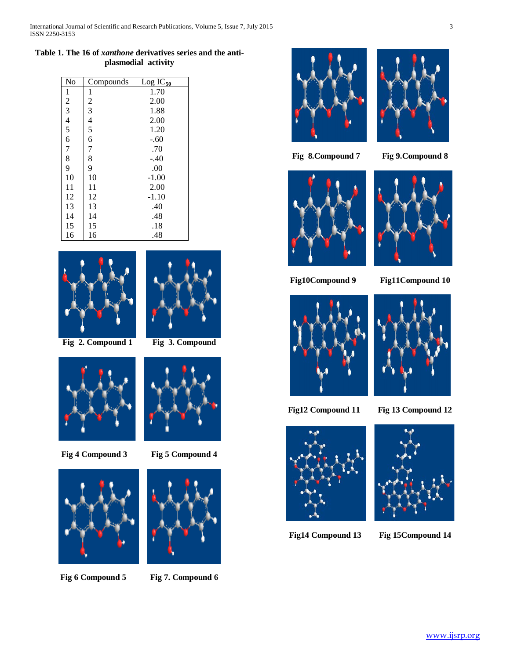# **Table 1. The 16 of** *xanthone* **derivatives series and the antiplasmodial activity**

| No                   | Compounds                                  | $Log IC_{50}$ |
|----------------------|--------------------------------------------|---------------|
| $\mathbf{1}$         | 1                                          | 1.70          |
|                      |                                            | 2.00          |
| $\frac{2}{3}$<br>4 5 | $\begin{array}{c} 2 \\ 3 \\ 4 \end{array}$ | 1.88          |
|                      |                                            | 2.00          |
|                      | 5                                          | 1.20          |
| 6                    | 6                                          | $-.60$        |
| $\overline{7}$       | 7                                          | .70           |
| 8                    | 8                                          | $-.40$        |
| 9                    | 9                                          | .00           |
| 10                   | 10                                         | $-1.00$       |
| 11                   | 11                                         | 2.00          |
| 12                   | 12                                         | $-1.10$       |
| 13                   | 13                                         | .40           |
| 14                   | 14                                         | .48           |
| 15                   | 15                                         | .18           |
| 16                   | 16                                         | .48           |





 **Fig 2. Compound 1 Fig 3. Compound**



**Fig 4 Compound 3 Fig 5 Compound 4**



**Fig 6 Compound 5 Fig 7. Compound 6**







**Fig 8.Compound 7 Fig 9.Compound 8**





**Fig10Compound 9 Fig11Compound 10**





**Fig12 Compound 11 Fig 13 Compound 12**





**Fig14 Compound 13 Fig 15Compound 14**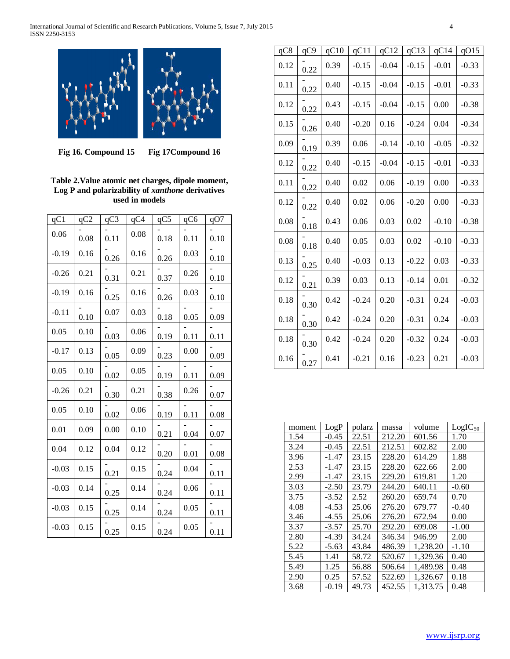

**Fig 16. Compound 15 Fig 17Compound 16**

# **Table 2.Value atomic net charges, dipole moment, Log P and polarizability of** *xanthone* **derivatives used in models**

| qC1     | qC2  | qC3  | $qC\overline{4}$ | qC5  | qC6  | qO7  |
|---------|------|------|------------------|------|------|------|
| 0.06    | 0.08 | 0.11 | 0.08             | 0.18 | 0.11 | 0.10 |
| $-0.19$ | 0.16 | 0.26 | 0.16             | 0.26 | 0.03 | 0.10 |
| $-0.26$ | 0.21 | 0.31 | 0.21             | 0.37 | 0.26 | 0.10 |
| $-0.19$ | 0.16 | 0.25 | 0.16             | 0.26 | 0.03 | 0.10 |
| $-0.11$ | 0.10 | 0.07 | 0.03             | 0.18 | 0.05 | 0.09 |
| 0.05    | 0.10 | 0.03 | 0.06             | 0.19 | 0.11 | 0.11 |
| $-0.17$ | 0.13 | 0.05 | 0.09             | 0.23 | 0.00 | 0.09 |
| 0.05    | 0.10 | 0.02 | 0.05             | 0.19 | 0.11 | 0.09 |
| $-0.26$ | 0.21 | 0.30 | 0.21             | 0.38 | 0.26 | 0.07 |
| 0.05    | 0.10 | 0.02 | 0.06             | 0.19 | 0.11 | 0.08 |
| 0.01    | 0.09 | 0.00 | 0.10             | 0.21 | 0.04 | 0.07 |
| 0.04    | 0.12 | 0.04 | 0.12             | 0.20 | 0.01 | 0.08 |
| $-0.03$ | 0.15 | 0.21 | 0.15             | 0.24 | 0.04 | 0.11 |
| $-0.03$ | 0.14 | 0.25 | 0.14             | 0.24 | 0.06 | 0.11 |
| $-0.03$ | 0.15 | 0.25 | 0.14             | 0.24 | 0.05 | 0.11 |
| $-0.03$ | 0.15 | 0.25 | 0.15             | 0.24 | 0.05 | 0.11 |

| qC8  | qC9  | qC10 | qC11    | qC12    | qC13    | qC14    | qO15    |
|------|------|------|---------|---------|---------|---------|---------|
| 0.12 | 0.22 | 0.39 | $-0.15$ | $-0.04$ | $-0.15$ | $-0.01$ | $-0.33$ |
| 0.11 | 0.22 | 0.40 | $-0.15$ | $-0.04$ | $-0.15$ | $-0.01$ | $-0.33$ |
| 0.12 | 0.22 | 0.43 | $-0.15$ | $-0.04$ | $-0.15$ | 0.00    | $-0.38$ |
| 0.15 | 0.26 | 0.40 | $-0.20$ | 0.16    | $-0.24$ | 0.04    | $-0.34$ |
| 0.09 | 0.19 | 0.39 | 0.06    | $-0.14$ | $-0.10$ | $-0.05$ | $-0.32$ |
| 0.12 | 0.22 | 0.40 | $-0.15$ | $-0.04$ | $-0.15$ | $-0.01$ | $-0.33$ |
| 0.11 | 0.22 | 0.40 | 0.02    | 0.06    | $-0.19$ | 0.00    | $-0.33$ |
| 0.12 | 0.22 | 0.40 | 0.02    | 0.06    | $-0.20$ | 0.00    | $-0.33$ |
| 0.08 | 0.18 | 0.43 | 0.06    | 0.03    | 0.02    | $-0.10$ | $-0.38$ |
| 0.08 | 0.18 | 0.40 | 0.05    | 0.03    | 0.02    | $-0.10$ | $-0.33$ |
| 0.13 | 0.25 | 0.40 | $-0.03$ | 0.13    | $-0.22$ | 0.03    | $-0.33$ |
| 0.12 | 0.21 | 0.39 | 0.03    | 0.13    | $-0.14$ | 0.01    | $-0.32$ |
| 0.18 | 0.30 | 0.42 | $-0.24$ | 0.20    | $-0.31$ | 0.24    | $-0.03$ |
| 0.18 | 0.30 | 0.42 | $-0.24$ | 0.20    | $-0.31$ | 0.24    | $-0.03$ |
| 0.18 | 0.30 | 0.42 | $-0.24$ | 0.20    | $-0.32$ | 0.24    | $-0.03$ |
| 0.16 | 0.27 | 0.41 | $-0.21$ | 0.16    | $-0.23$ | 0.21    | $-0.03$ |

| moment | LogP    | polarz | massa  | volume   | $LogIC_{50}$ |
|--------|---------|--------|--------|----------|--------------|
| 1.54   | $-0.45$ | 22.51  | 212.20 | 601.56   | 1.70         |
| 3.24   | $-0.45$ | 22.51  | 212.51 | 602.82   | 2.00         |
| 3.96   | $-1.47$ | 23.15  | 228.20 | 614.29   | 1.88         |
| 2.53   | $-1.47$ | 23.15  | 228.20 | 622.66   | 2.00         |
| 2.99   | $-1.47$ | 23.15  | 229.20 | 619.81   | 1.20         |
| 3.03   | $-2.50$ | 23.79  | 244.20 | 640.11   | $-0.60$      |
| 3.75   | $-3.52$ | 2.52   | 260.20 | 659.74   | 0.70         |
| 4.08   | $-4.53$ | 25.06  | 276.20 | 679.77   | $-0.40$      |
| 3.46   | $-4.55$ | 25.06  | 276.20 | 672.94   | 0.00         |
| 3.37   | $-3.57$ | 25.70  | 292.20 | 699.08   | $-1.00$      |
| 2.80   | -4.39   | 34.24  | 346.34 | 946.99   | 2.00         |
| 5.22   | $-5.63$ | 43.84  | 486.39 | 1,238.20 | $-1.10$      |
| 5.45   | 1.41    | 58.72  | 520.67 | 1,329.36 | 0.40         |
| 5.49   | 1.25    | 56.88  | 506.64 | 1,489.98 | 0.48         |
| 2.90   | 0.25    | 57.52  | 522.69 | 1,326.67 | 0.18         |
| 3.68   | $-0.19$ | 49.73  | 452.55 | 1.313.75 | 0.48         |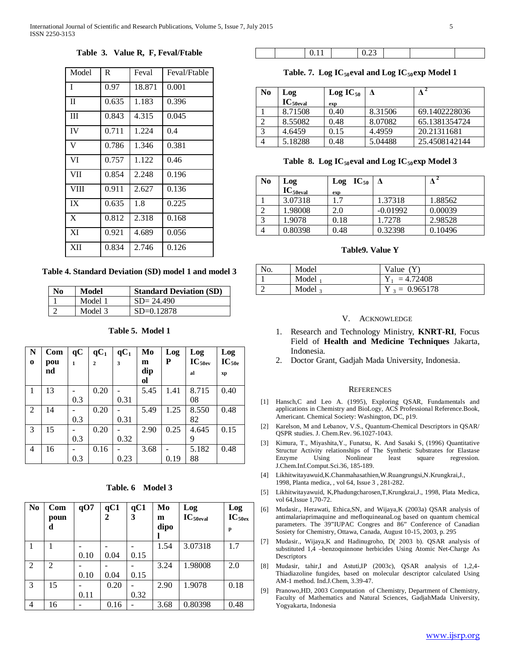**Table 3. Value R, F, Feval/Ftable**

| Model       | R     | Feval  | Feval/Ftable |
|-------------|-------|--------|--------------|
| L           | 0.97  | 18.871 | 0.001        |
| $\Pi$       | 0.635 | 1.183  | 0.396        |
| Ш           | 0.843 | 4.315  | 0.045        |
| IV          | 0.711 | 1.224  | 0.4          |
| V           | 0.786 | 1.346  | 0.381        |
| VI          | 0.757 | 1.122  | 0.46         |
| VII         | 0.854 | 2.248  | 0.196        |
| <b>VIII</b> | 0.911 | 2.627  | 0.136        |
| IX          | 0.635 | 1.8    | 0.225        |
| X           | 0.812 | 2.318  | 0.168        |
| XI          | 0.921 | 4.689  | 0.056        |
| XII         | 0.834 | 2.746  | 0.126        |

**Table 4. Standard Deviation (SD) model 1 and model 3**

| N <sub>0</sub> | Model   | <b>Standard Deviation (SD)</b> |
|----------------|---------|--------------------------------|
|                | Model 1 | $SD = 24.490$                  |
|                | Model 3 | $SD=0.12878$                   |

**N o Com pou nd qC 1 qC1 2 qC1 3 Mo m dip ol Log P Log**   $IC_{50ev}$ **al Log**   $IC_{50e}$ **xp**  $1 \mid 13$ 0.3  $0.20$ 0.31 5.45 1.41 8.715 08 0.40  $2 \mid 14 \mid$  -0.3  $0.20$ 0.31 5.49 1.25 8.550 82 0.48  $3 \mid 15$ 0.3  $0.20$ 0.32 2.90 0.25 4.645 9 0.15  $4 \mid 16 \mid$  -0.3  $0.16$ 0.23 3.68 0.19 5.182 88 0.48

**Table 5. Model 1**

# **Table. 6 Model 3**

| N <sub>0</sub> | Com<br>poun    | qO7  | qC1<br>2 | qC1<br>3 | Mo<br>m | Log<br>$IC_{50eval}$ | Log<br>IC <sub>50ex</sub> |
|----------------|----------------|------|----------|----------|---------|----------------------|---------------------------|
|                | d              |      |          |          | dipo    |                      | p                         |
|                |                |      |          |          | 1.54    | 3.07318              | 1.7                       |
|                |                | 0.10 | 0.04     | 0.15     |         |                      |                           |
| 2              | $\mathfrak{D}$ |      |          |          | 3.24    | 1.98008              | 2.0                       |
|                |                | 0.10 | 0.04     | 0.15     |         |                      |                           |
| 3              | 15             |      | 0.20     |          | 2.90    | 1.9078               | 0.18                      |
|                |                | 0.11 |          | 0.32     |         |                      |                           |
| $\overline{4}$ | 16             |      | 0.16     |          | 3.68    | 0.80398              | 0.48                      |

|  |  | 0.22<br>$\mathcal{C}$ |  |  |
|--|--|-----------------------|--|--|
|  |  |                       |  |  |

Table. 7. Log IC<sub>50</sub>eval and Log IC<sub>50</sub>exp Model 1

| N <sub>0</sub> | Log                   | $Log IC_{50}$ | $\Lambda$ | л             |
|----------------|-----------------------|---------------|-----------|---------------|
|                | $IC_{50 \text{eval}}$ | exp           |           |               |
|                | 8.71508               | 0.40          | 8.31506   | 69.1402228036 |
|                | 8.55082               | 0.48          | 8.07082   | 65.1381354724 |
| 3              | 4.6459                | 0.15          | 4.4959    | 20.21311681   |
|                | 5.18288               | 0.48          | 5.04488   | 25.4508142144 |

# Table 8. Log  $IC_{50}$ eval and Log  $IC_{50}$ exp Model 3

| N <sub>0</sub> | Log<br>$IC_{50eval}$ | $Log IC_{50}$<br>exp |            |         |
|----------------|----------------------|----------------------|------------|---------|
|                | 3.07318              | 1.7                  | 1.37318    | 1.88562 |
|                | 1.98008              | 2.0                  | $-0.01992$ | 0.00039 |
|                | 1.9078               | 0.18                 | 1.7278     | 2.98528 |
|                | 0.80398              | 0.48                 | 0.32398    | 0.10496 |

# **Table9. Value Y**

| No. | Model               | Value $(Y)$      |
|-----|---------------------|------------------|
|     | Model               | $Y_1 = 4.72408$  |
|     | Model $\frac{1}{3}$ | $Y_3 = 0.965178$ |

# V. ACKNOWLEDGE

- 1. Research and Technology Ministry, **KNRT-RI**, Focus Field of **Health and Medicine Techniques** Jakarta, Indonesia.
- 2. Doctor Grant, Gadjah Mada University, Indonesia.

## **REFERENCES**

- [1] Hansch,C and Leo A. (1995), Exploring QSAR, Fundamentals and applications in Chemistry and BioLogy, ACS Professional Reference.Book, Americant. Chemical Society: Washington, DC, p19.
- [2] Karelson, M and Lebanov, V.S., Quantum-Chemical Descriptors in QSAR/ QSPR studies. J. Chem.Rev. 96.1027-1043.
- [3] Kimura, T., Miyashita,Y., Funatsu, K. And Sasaki S, (1996) Quantitative Structur Activity relationships of The Synthetic Substrates for Elastase Enzyme Using Nonlinear least square regression. J.Chem.Inf.Comput.Sci.36, 185-189.
- [4] Likhitwitayawuid,K.Chanmahasathien,W.Ruangrungsi,N.Krungkrai,J., 1998, Planta medica, , vol 64, Issue 3 , 281-282.
- [5] Likhitwitayawuid, K,Phadungcharosen,T,Krungkrai,J., 1998, Plata Medica, vol 64,Issue 1,70-72.
- [6] Mudasir., Herawati, Ethica,SN, and Wijaya,K (2003a) QSAR analysis of antimalariaprimaquine and mefloquineanaLog based on quantum chemical parameters. The 39"IUPAC Congres and 86" Conference of Canadian Sosiety for Chemistry, Ottawa, Canada, August 10-15, 2003, p. 295
- [7] Mudasir., Wijaya,K and Hadinugroho, D( 2003 b). QSAR analysis of substituted 1,4 –benzoquinnone herbicides Using Atomic Net-Charge As **Descriptors**
- [8] Mudasir, tahir,I and Astuti,IP (2003c), QSAR analysis of 1,2,4- Thiadiazoline fungides, based on molecular descriptor calculated Using AM-1 method. Ind.J.Chem, 3.39-47.
- [9] Pranowo,HD, 2003 Computation of Chemistry, Department of Chemistry, Faculty of Mathematics and Natural Sciences, GadjahMada University, Yogyakarta, Indonesia